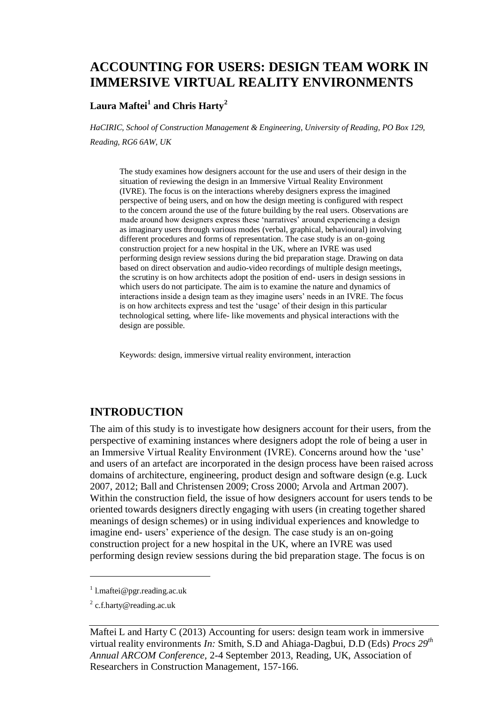# **ACCOUNTING FOR USERS: DESIGN TEAM WORK IN IMMERSIVE VIRTUAL REALITY ENVIRONMENTS**

## $\mathbf{L}$ aura Maftei $^1$  and Chris Harty $^2$

*HaCIRIC, School of Construction Management & Engineering, University of Reading, PO Box 129, Reading, RG6 6AW, UK*

The study examines how designers account for the use and users of their design in the situation of reviewing the design in an Immersive Virtual Reality Environment (IVRE). The focus is on the interactions whereby designers express the imagined perspective of being users, and on how the design meeting is configured with respect to the concern around the use of the future building by the real users. Observations are made around how designers express these 'narratives' around experiencing a design as imaginary users through various modes (verbal, graphical, behavioural) involving different procedures and forms of representation. The case study is an on-going construction project for a new hospital in the UK, where an IVRE was used performing design review sessions during the bid preparation stage. Drawing on data based on direct observation and audio-video recordings of multiple design meetings, the scrutiny is on how architects adopt the position of end- users in design sessions in which users do not participate. The aim is to examine the nature and dynamics of interactions inside a design team as they imagine users' needs in an IVRE. The focus is on how architects express and test the 'usage' of their design in this particular technological setting, where life- like movements and physical interactions with the design are possible.

Keywords: design, immersive virtual reality environment, interaction

## **INTRODUCTION**

The aim of this study is to investigate how designers account for their users, from the perspective of examining instances where designers adopt the role of being a user in an Immersive Virtual Reality Environment (IVRE). Concerns around how the 'use' and users of an artefact are incorporated in the design process have been raised across domains of architecture, engineering, product design and software design (e.g. Luck 2007, 2012; Ball and Christensen 2009; Cross 2000; Arvola and Artman 2007). Within the construction field, the issue of how designers account for users tends to be oriented towards designers directly engaging with users (in creating together shared meanings of design schemes) or in using individual experiences and knowledge to imagine end- users' experience of the design. The case study is an on-going construction project for a new hospital in the UK, where an IVRE was used performing design review sessions during the bid preparation stage. The focus is on

 $\overline{a}$ 

<sup>&</sup>lt;sup>1</sup> l.maftei@pgr.reading.ac.uk

 $2$  c.f.harty@reading.ac.uk

Maftei L and Harty C (2013) Accounting for users: design team work in immersive virtual reality environments *In:* Smith, S.D and Ahiaga-Dagbui, D.D (Eds) *Procs 29th Annual ARCOM Conference,* 2-4 September 2013, Reading, UK, Association of Researchers in Construction Management, 157[-166.](#page-9-0)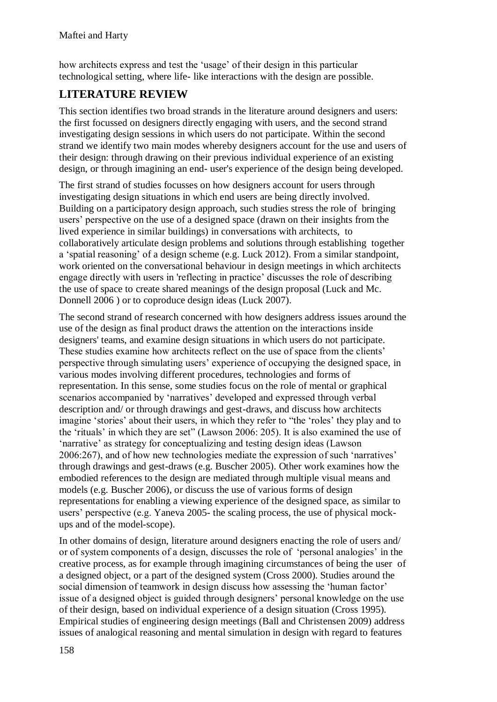how architects express and test the 'usage' of their design in this particular technological setting, where life- like interactions with the design are possible.

## **LITERATURE REVIEW**

This section identifies two broad strands in the literature around designers and users: the first focussed on designers directly engaging with users, and the second strand investigating design sessions in which users do not participate. Within the second strand we identify two main modes whereby designers account for the use and users of their design: through drawing on their previous individual experience of an existing design, or through imagining an end- user's experience of the design being developed.

The first strand of studies focusses on how designers account for users through investigating design situations in which end users are being directly involved. Building on a participatory design approach, such studies stress the role of bringing users' perspective on the use of a designed space (drawn on their insights from the lived experience in similar buildings) in conversations with architects, to collaboratively articulate design problems and solutions through establishing together a 'spatial reasoning' of a design scheme (e.g. Luck 2012). From a similar standpoint, work oriented on the conversational behaviour in design meetings in which architects engage directly with users in 'reflecting in practice' discusses the role of describing the use of space to create shared meanings of the design proposal (Luck and Mc. Donnell 2006 ) or to coproduce design ideas (Luck 2007).

The second strand of research concerned with how designers address issues around the use of the design as final product draws the attention on the interactions inside designers' teams, and examine design situations in which users do not participate. These studies examine how architects reflect on the use of space from the clients' perspective through simulating users' experience of occupying the designed space, in various modes involving different procedures, technologies and forms of representation. In this sense, some studies focus on the role of mental or graphical scenarios accompanied by 'narratives' developed and expressed through verbal description and/ or through drawings and gest-draws, and discuss how architects imagine 'stories' about their users, in which they refer to "the 'roles' they play and to the 'rituals' in which they are set" (Lawson 2006: 205). It is also examined the use of 'narrative' as strategy for conceptualizing and testing design ideas (Lawson 2006:267), and of how new technologies mediate the expression of such 'narratives' through drawings and gest-draws (e.g. Buscher 2005). Other work examines how the embodied references to the design are mediated through multiple visual means and models (e.g. Buscher 2006), or discuss the use of various forms of design representations for enabling a viewing experience of the designed space, as similar to users' perspective (e.g. Yaneva 2005- the scaling process, the use of physical mockups and of the model-scope).

In other domains of design, literature around designers enacting the role of users and/ or of system components of a design, discusses the role of 'personal analogies' in the creative process, as for example through imagining circumstances of being the user of a designed object, or a part of the designed system (Cross 2000). Studies around the social dimension of teamwork in design discuss how assessing the 'human factor' issue of a designed object is guided through designers' personal knowledge on the use of their design, based on individual experience of a design situation (Cross 1995). Empirical studies of engineering design meetings (Ball and Christensen 2009) address issues of analogical reasoning and mental simulation in design with regard to features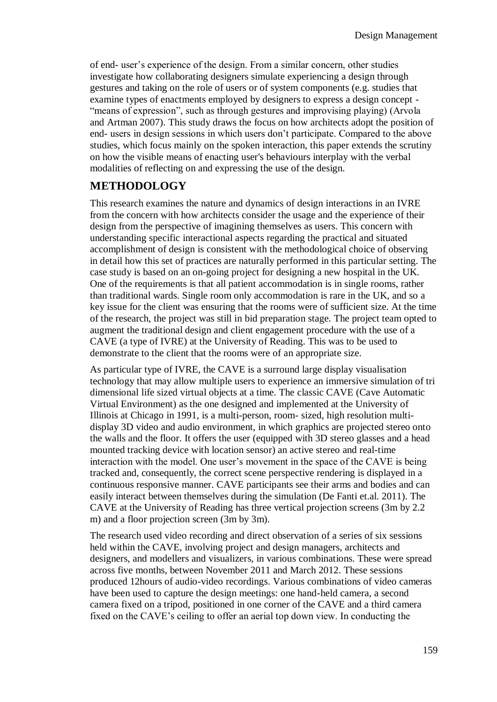of end- user's experience of the design. From a similar concern, other studies investigate how collaborating designers simulate experiencing a design through gestures and taking on the role of users or of system components (e.g. studies that examine types of enactments employed by designers to express a design concept - "means of expression", such as through gestures and improvising playing) (Arvola and Artman 2007). This study draws the focus on how architects adopt the position of end- users in design sessions in which users don't participate. Compared to the above studies, which focus mainly on the spoken interaction, this paper extends the scrutiny on how the visible means of enacting user's behaviours interplay with the verbal modalities of reflecting on and expressing the use of the design.

## **METHODOLOGY**

This research examines the nature and dynamics of design interactions in an IVRE from the concern with how architects consider the usage and the experience of their design from the perspective of imagining themselves as users. This concern with understanding specific interactional aspects regarding the practical and situated accomplishment of design is consistent with the methodological choice of observing in detail how this set of practices are naturally performed in this particular setting. The case study is based on an on-going project for designing a new hospital in the UK. One of the requirements is that all patient accommodation is in single rooms, rather than traditional wards. Single room only accommodation is rare in the UK, and so a key issue for the client was ensuring that the rooms were of sufficient size. At the time of the research, the project was still in bid preparation stage. The project team opted to augment the traditional design and client engagement procedure with the use of a CAVE (a type of IVRE) at the University of Reading. This was to be used to demonstrate to the client that the rooms were of an appropriate size.

As particular type of IVRE, the CAVE is a surround large display visualisation technology that may allow multiple users to experience an immersive simulation of tri dimensional life sized virtual objects at a time. The classic CAVE (Cave Automatic Virtual Environment) as the one designed and implemented at the University of Illinois at Chicago in 1991, is a multi-person, room- sized, high resolution multidisplay 3D video and audio environment, in which graphics are projected stereo onto the walls and the floor. It offers the user (equipped with 3D stereo glasses and a head mounted tracking device with location sensor) an active stereo and real-time interaction with the model. One user's movement in the space of the CAVE is being tracked and, consequently, the correct scene perspective rendering is displayed in a continuous responsive manner. CAVE participants see their arms and bodies and can easily interact between themselves during the simulation (De Fanti et.al. 2011). The CAVE at the University of Reading has three vertical projection screens (3m by 2.2 m) and a floor projection screen (3m by 3m).

The research used video recording and direct observation of a series of six sessions held within the CAVE, involving project and design managers, architects and designers, and modellers and visualizers, in various combinations. These were spread across five months, between November 2011 and March 2012. These sessions produced 12hours of audio-video recordings. Various combinations of video cameras have been used to capture the design meetings: one hand-held camera, a second camera fixed on a tripod, positioned in one corner of the CAVE and a third camera fixed on the CAVE's ceiling to offer an aerial top down view. In conducting the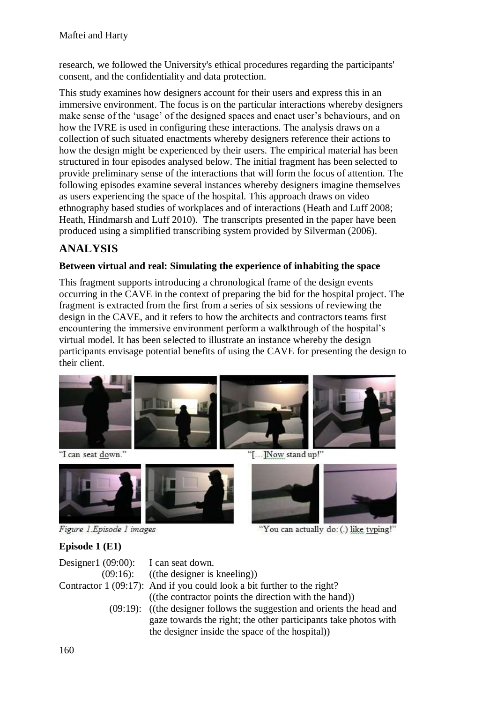research, we followed the University's ethical procedures regarding the participants' consent, and the confidentiality and data protection.

This study examines how designers account for their users and express this in an immersive environment. The focus is on the particular interactions whereby designers make sense of the 'usage' of the designed spaces and enact user's behaviours, and on how the IVRE is used in configuring these interactions. The analysis draws on a collection of such situated enactments whereby designers reference their actions to how the design might be experienced by their users. The empirical material has been structured in four episodes analysed below. The initial fragment has been selected to provide preliminary sense of the interactions that will form the focus of attention. The following episodes examine several instances whereby designers imagine themselves as users experiencing the space of the hospital. This approach draws on video ethnography based studies of workplaces and of interactions (Heath and Luff 2008; Heath, Hindmarsh and Luff 2010). The transcripts presented in the paper have been produced using a simplified transcribing system provided by Silverman (2006).

# **ANALYSIS**

#### **Between virtual and real: Simulating the experience of inhabiting the space**

This fragment supports introducing a chronological frame of the design events occurring in the CAVE in the context of preparing the bid for the hospital project. The fragment is extracted from the first from a series of six sessions of reviewing the design in the CAVE, and it refers to how the architects and contractors teams first encountering the immersive environment perform a walkthrough of the hospital's virtual model. It has been selected to illustrate an instance whereby the design participants envisage potential benefits of using the CAVE for presenting the design to their client.



"I can seat down."





"[...]Now stand up!"

"You can actually do: (.) like typing!"

## **Episode 1 (E1)**

| Designer1 $(09:00)$ : I can seat down. |                                                                                                                                                                                                 |
|----------------------------------------|-------------------------------------------------------------------------------------------------------------------------------------------------------------------------------------------------|
|                                        | $(09:16)$ : ((the designer is kneeling))                                                                                                                                                        |
|                                        | Contractor $1(09:17)$ : And if you could look a bit further to the right?                                                                                                                       |
|                                        | ((the contractor points the direction with the hand))                                                                                                                                           |
|                                        | $(09:19)$ : ((the designer follows the suggestion and orients the head and<br>gaze towards the right; the other participants take photos with<br>the designer inside the space of the hospital) |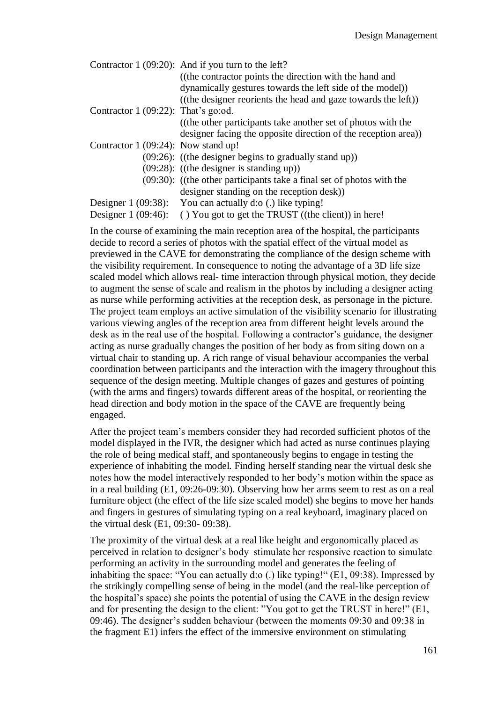- Contractor 1 (09:20): And if you turn to the left?
	- ((the contractor points the direction with the hand and dynamically gestures towards the left side of the model)) ((the designer reorients the head and gaze towards the left))
- Contractor 1 (09:22): That's go:od.

((the other participants take another set of photos with the designer facing the opposite direction of the reception area))

- Contractor 1 (09:24): Now stand up!
	- (09:26): ((the designer begins to gradually stand up))
	- (09:28): ((the designer is standing up))
	- (09:30): ((the other participants take a final set of photos with the designer standing on the reception desk))
- Designer 1 (09:38): You can actually d:o (.) like typing!

Designer 1 (09:46): ( ) You got to get the TRUST ((the client)) in here!

In the course of examining the main reception area of the hospital, the participants decide to record a series of photos with the spatial effect of the virtual model as previewed in the CAVE for demonstrating the compliance of the design scheme with the visibility requirement. In consequence to noting the advantage of a 3D life size scaled model which allows real- time interaction through physical motion, they decide to augment the sense of scale and realism in the photos by including a designer acting as nurse while performing activities at the reception desk, as personage in the picture. The project team employs an active simulation of the visibility scenario for illustrating various viewing angles of the reception area from different height levels around the desk as in the real use of the hospital. Following a contractor's guidance, the designer acting as nurse gradually changes the position of her body as from siting down on a virtual chair to standing up. A rich range of visual behaviour accompanies the verbal coordination between participants and the interaction with the imagery throughout this sequence of the design meeting. Multiple changes of gazes and gestures of pointing (with the arms and fingers) towards different areas of the hospital, or reorienting the head direction and body motion in the space of the CAVE are frequently being engaged.

After the project team's members consider they had recorded sufficient photos of the model displayed in the IVR, the designer which had acted as nurse continues playing the role of being medical staff, and spontaneously begins to engage in testing the experience of inhabiting the model. Finding herself standing near the virtual desk she notes how the model interactively responded to her body's motion within the space as in a real building (E1, 09:26-09:30). Observing how her arms seem to rest as on a real furniture object (the effect of the life size scaled model) she begins to move her hands and fingers in gestures of simulating typing on a real keyboard, imaginary placed on the virtual desk (E1, 09:30- 09:38).

The proximity of the virtual desk at a real like height and ergonomically placed as perceived in relation to designer's body stimulate her responsive reaction to simulate performing an activity in the surrounding model and generates the feeling of inhabiting the space: "You can actually d:o (.) like typing!" (E1, 09:38). Impressed by the strikingly compelling sense of being in the model (and the real-like perception of the hospital's space) she points the potential of using the CAVE in the design review and for presenting the design to the client: "You got to get the TRUST in here!" (E1, 09:46). The designer's sudden behaviour (between the moments 09:30 and 09:38 in the fragment E1) infers the effect of the immersive environment on stimulating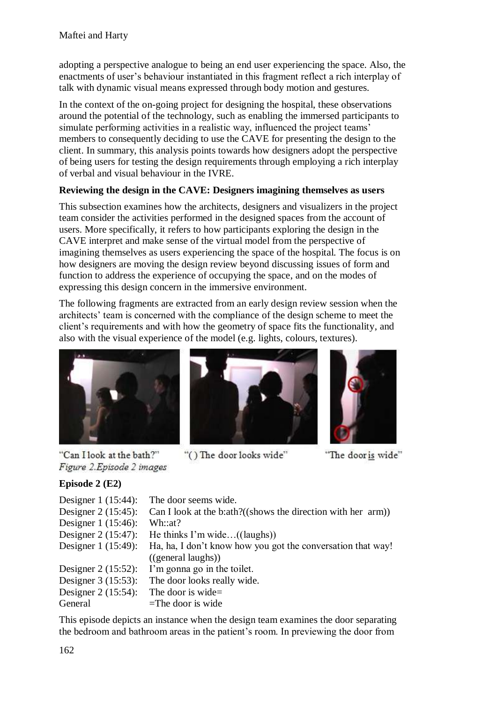adopting a perspective analogue to being an end user experiencing the space. Also, the enactments of user's behaviour instantiated in this fragment reflect a rich interplay of talk with dynamic visual means expressed through body motion and gestures.

In the context of the on-going project for designing the hospital, these observations around the potential of the technology, such as enabling the immersed participants to simulate performing activities in a realistic way, influenced the project teams' members to consequently deciding to use the CAVE for presenting the design to the client. In summary, this analysis points towards how designers adopt the perspective of being users for testing the design requirements through employing a rich interplay of verbal and visual behaviour in the IVRE.

#### **Reviewing the design in the CAVE: Designers imagining themselves as users**

This subsection examines how the architects, designers and visualizers in the project team consider the activities performed in the designed spaces from the account of users. More specifically, it refers to how participants exploring the design in the CAVE interpret and make sense of the virtual model from the perspective of imagining themselves as users experiencing the space of the hospital. The focus is on how designers are moving the design review beyond discussing issues of form and function to address the experience of occupying the space, and on the modes of expressing this design concern in the immersive environment.

The following fragments are extracted from an early design review session when the architects' team is concerned with the compliance of the design scheme to meet the client's requirements and with how the geometry of space fits the functionality, and also with the visual experience of the model (e.g. lights, colours, textures).







"The door is wide"

## "Can I look at the bath?" Figure 2. Episode 2 images

## **Episode 2 (E2)** Designer 1 (15:44): The door seems wide. Designer 2 (15:45): Can I look at the b:ath?((shows the direction with her arm)) Designer 1 (15:46): Wh::at? Designer 2 (15:47): He thinks I'm wide…((laughs)) Designer 1 (15:49): Ha, ha, I don't know how you got the conversation that way! ((general laughs)) Designer 2 (15:52): I'm gonna go in the toilet. Designer 3 (15:53): The door looks really wide. Designer 2 (15:54): The door is wide= General  $=$ The door is wide

"() The door looks wide"

This episode depicts an instance when the design team examines the door separating the bedroom and bathroom areas in the patient's room. In previewing the door from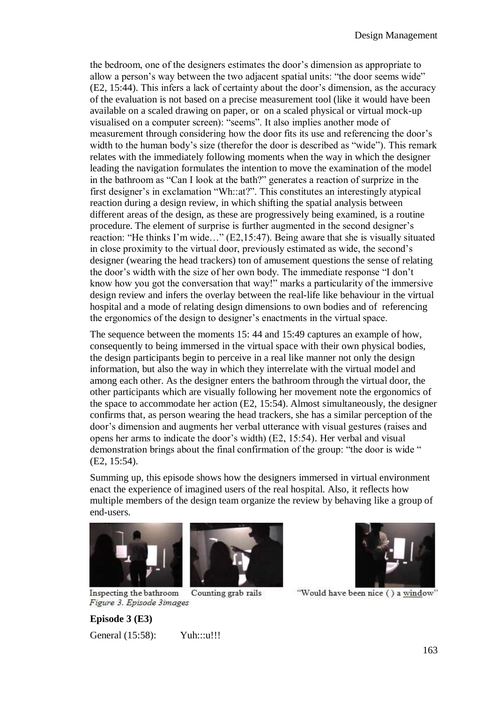the bedroom, one of the designers estimates the door's dimension as appropriate to allow a person's way between the two adjacent spatial units: "the door seems wide" (E2, 15:44). This infers a lack of certainty about the door's dimension, as the accuracy of the evaluation is not based on a precise measurement tool (like it would have been available on a scaled drawing on paper, or on a scaled physical or virtual mock-up visualised on a computer screen): "seems". It also implies another mode of measurement through considering how the door fits its use and referencing the door's width to the human body's size (therefor the door is described as "wide"). This remark relates with the immediately following moments when the way in which the designer leading the navigation formulates the intention to move the examination of the model in the bathroom as "Can I look at the bath?" generates a reaction of surprize in the first designer's in exclamation "Wh::at?". This constitutes an interestingly atypical reaction during a design review, in which shifting the spatial analysis between different areas of the design, as these are progressively being examined, is a routine procedure. The element of surprise is further augmented in the second designer's reaction: "He thinks I'm wide…" (E2,15:47). Being aware that she is visually situated in close proximity to the virtual door, previously estimated as wide, the second's designer (wearing the head trackers) ton of amusement questions the sense of relating the door's width with the size of her own body. The immediate response "I don't know how you got the conversation that way!" marks a particularity of the immersive design review and infers the overlay between the real-life like behaviour in the virtual hospital and a mode of relating design dimensions to own bodies and of referencing the ergonomics of the design to designer's enactments in the virtual space.

The sequence between the moments 15: 44 and 15:49 captures an example of how, consequently to being immersed in the virtual space with their own physical bodies, the design participants begin to perceive in a real like manner not only the design information, but also the way in which they interrelate with the virtual model and among each other. As the designer enters the bathroom through the virtual door, the other participants which are visually following her movement note the ergonomics of the space to accommodate her action (E2, 15:54). Almost simultaneously, the designer confirms that, as person wearing the head trackers, she has a similar perception of the door's dimension and augments her verbal utterance with visual gestures (raises and opens her arms to indicate the door's width) (E2, 15:54). Her verbal and visual demonstration brings about the final confirmation of the group: "the door is wide " (E2, 15:54).

Summing up, this episode shows how the designers immersed in virtual environment enact the experience of imagined users of the real hospital. Also, it reflects how multiple members of the design team organize the review by behaving like a group of end-users.







"Would have been nice () a window"

Inspecting the bathroom Counting grab rails Figure 3. Episode 3images

**Episode 3 (E3)** General (15:58): Yuh:::u!!!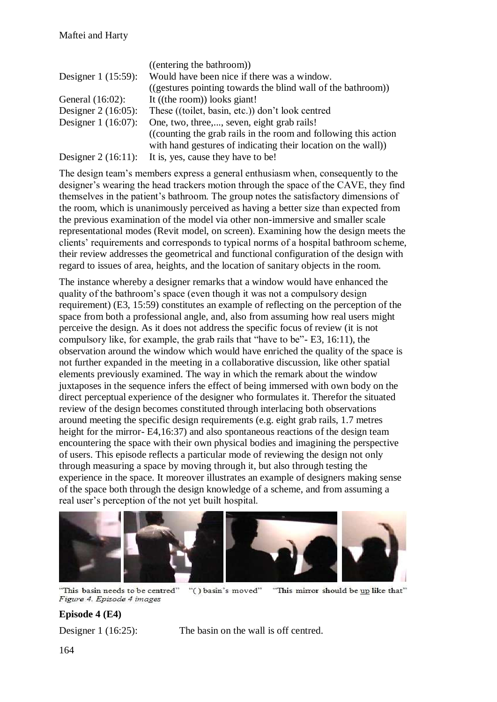|                       | ((entering the bathroom))                                        |
|-----------------------|------------------------------------------------------------------|
| Designer $1(15:59)$ : | Would have been nice if there was a window.                      |
|                       | ((gestures pointing towards the blind wall of the bathroom))     |
| General $(16:02)$ :   | It ((the room)) looks giant!                                     |
| Designer $2(16:05)$ : | These ((toilet, basin, etc.)) don't look centred                 |
| Designer $1(16:07)$ : | One, two, three,, seven, eight grab rails!                       |
|                       | ((counting the grab rails in the room and following this action) |
|                       | with hand gestures of indicating their location on the wall)     |
|                       | Designer $2(16:11)$ : It is, yes, cause they have to be!         |

The design team's members express a general enthusiasm when, consequently to the designer's wearing the head trackers motion through the space of the CAVE, they find themselves in the patient's bathroom. The group notes the satisfactory dimensions of the room, which is unanimously perceived as having a better size than expected from the previous examination of the model via other non-immersive and smaller scale representational modes (Revit model, on screen). Examining how the design meets the clients' requirements and corresponds to typical norms of a hospital bathroom scheme, their review addresses the geometrical and functional configuration of the design with regard to issues of area, heights, and the location of sanitary objects in the room.

The instance whereby a designer remarks that a window would have enhanced the quality of the bathroom's space (even though it was not a compulsory design requirement) (E3, 15:59) constitutes an example of reflecting on the perception of the space from both a professional angle, and, also from assuming how real users might perceive the design. As it does not address the specific focus of review (it is not compulsory like, for example, the grab rails that "have to be"- E3, 16:11), the observation around the window which would have enriched the quality of the space is not further expanded in the meeting in a collaborative discussion, like other spatial elements previously examined. The way in which the remark about the window juxtaposes in the sequence infers the effect of being immersed with own body on the direct perceptual experience of the designer who formulates it. Therefor the situated review of the design becomes constituted through interlacing both observations around meeting the specific design requirements (e.g. eight grab rails, 1.7 metres height for the mirror- E4,16:37) and also spontaneous reactions of the design team encountering the space with their own physical bodies and imagining the perspective of users. This episode reflects a particular mode of reviewing the design not only through measuring a space by moving through it, but also through testing the experience in the space. It moreover illustrates an example of designers making sense of the space both through the design knowledge of a scheme, and from assuming a real user's perception of the not yet built hospital.



"This basin needs to be centred" "() basin's moved" Figure 4. Episode 4 images

"This mirror should be up like that"

## **Episode 4 (E4)**

Designer 1 (16:25): The basin on the wall is off centred.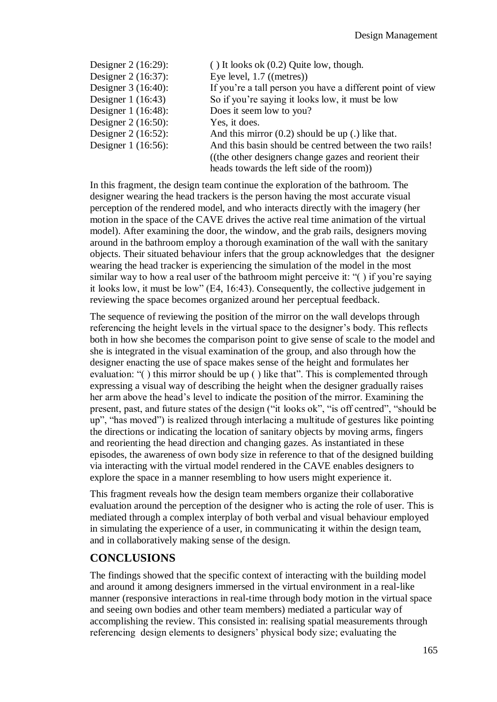| Designer 2 (16:29):   | $( )$ It looks ok $(0.2)$ Quite low, though.               |
|-----------------------|------------------------------------------------------------|
| Designer 2 (16:37):   | Eye level, $1.7$ ((metres))                                |
| Designer 3 (16:40):   | If you're a tall person you have a different point of view |
| Designer $1(16:43)$   | So if you're saying it looks low, it must be low           |
| Designer 1 (16:48):   | Does it seem low to you?                                   |
| Designer $2(16:50)$ : | Yes, it does.                                              |
| Designer 2 (16:52):   | And this mirror $(0.2)$ should be up (.) like that.        |
| Designer 1 (16:56):   | And this basin should be centred between the two rails!    |
|                       | ((the other designers change gazes and reorient their)     |
|                       | heads towards the left side of the room)                   |

In this fragment, the design team continue the exploration of the bathroom. The designer wearing the head trackers is the person having the most accurate visual perception of the rendered model, and who interacts directly with the imagery (her motion in the space of the CAVE drives the active real time animation of the virtual model). After examining the door, the window, and the grab rails, designers moving around in the bathroom employ a thorough examination of the wall with the sanitary objects. Their situated behaviour infers that the group acknowledges that the designer wearing the head tracker is experiencing the simulation of the model in the most similar way to how a real user of the bathroom might perceive it: "( ) if you're saying it looks low, it must be low" (E4, 16:43). Consequently, the collective judgement in reviewing the space becomes organized around her perceptual feedback.

The sequence of reviewing the position of the mirror on the wall develops through referencing the height levels in the virtual space to the designer's body. This reflects both in how she becomes the comparison point to give sense of scale to the model and she is integrated in the visual examination of the group, and also through how the designer enacting the use of space makes sense of the height and formulates her evaluation: "( ) this mirror should be up ( ) like that". This is complemented through expressing a visual way of describing the height when the designer gradually raises her arm above the head's level to indicate the position of the mirror. Examining the present, past, and future states of the design ("it looks ok", "is off centred", "should be up", "has moved") is realized through interlacing a multitude of gestures like pointing the directions or indicating the location of sanitary objects by moving arms, fingers and reorienting the head direction and changing gazes. As instantiated in these episodes, the awareness of own body size in reference to that of the designed building via interacting with the virtual model rendered in the CAVE enables designers to explore the space in a manner resembling to how users might experience it.

This fragment reveals how the design team members organize their collaborative evaluation around the perception of the designer who is acting the role of user. This is mediated through a complex interplay of both verbal and visual behaviour employed in simulating the experience of a user, in communicating it within the design team, and in collaboratively making sense of the design.

## **CONCLUSIONS**

The findings showed that the specific context of interacting with the building model and around it among designers immersed in the virtual environment in a real-like manner (responsive interactions in real-time through body motion in the virtual space and seeing own bodies and other team members) mediated a particular way of accomplishing the review. This consisted in: realising spatial measurements through referencing design elements to designers' physical body size; evaluating the